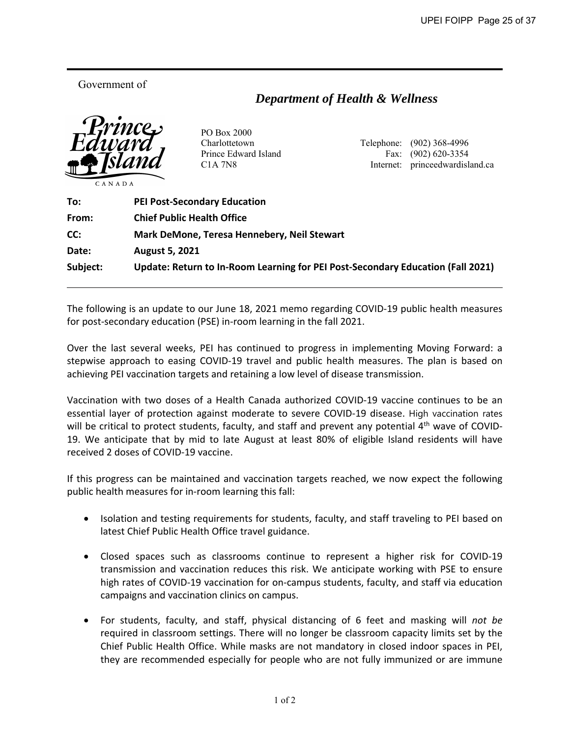Government of

**MEMORANDUM** 

## *Department of Health & Wellness*



PO Box 2000

 Charlottetown Telephone: (902) 368-4996 Prince Edward Island Fax: (902) 620-3354 C1A 7N8 Internet: princeedwardisland.ca

| To:      | <b>PEI Post-Secondary Education</b>                                             |
|----------|---------------------------------------------------------------------------------|
| From:    | <b>Chief Public Health Office</b>                                               |
| CC:      | Mark DeMone, Teresa Hennebery, Neil Stewart                                     |
| Date:    | <b>August 5, 2021</b>                                                           |
| Subject: | Update: Return to In-Room Learning for PEI Post-Secondary Education (Fall 2021) |

The following is an update to our June 18, 2021 memo regarding COVID‐19 public health measures for post‐secondary education (PSE) in‐room learning in the fall 2021.

Over the last several weeks, PEI has continued to progress in implementing Moving Forward: a stepwise approach to easing COVID‐19 travel and public health measures. The plan is based on achieving PEI vaccination targets and retaining a low level of disease transmission.

Vaccination with two doses of a Health Canada authorized COVID-19 vaccine continues to be an essential layer of protection against moderate to severe COVID-19 disease. High vaccination rates will be critical to protect students, faculty, and staff and prevent any potential  $4<sup>th</sup>$  wave of COVID-19. We anticipate that by mid to late August at least 80% of eligible Island residents will have received 2 doses of COVID‐19 vaccine.

If this progress can be maintained and vaccination targets reached, we now expect the following public health measures for in‐room learning this fall:

- Isolation and testing requirements for students, faculty, and staff traveling to PEI based on latest Chief Public Health Office travel guidance.
- Closed spaces such as classrooms continue to represent a higher risk for COVID-19 transmission and vaccination reduces this risk. We anticipate working with PSE to ensure high rates of COVID-19 vaccination for on-campus students, faculty, and staff via education campaigns and vaccination clinics on campus.
- For students, faculty, and staff, physical distancing of 6 feet and masking will *not be* required in classroom settings. There will no longer be classroom capacity limits set by the Chief Public Health Office. While masks are not mandatory in closed indoor spaces in PEI, they are recommended especially for people who are not fully immunized or are immune